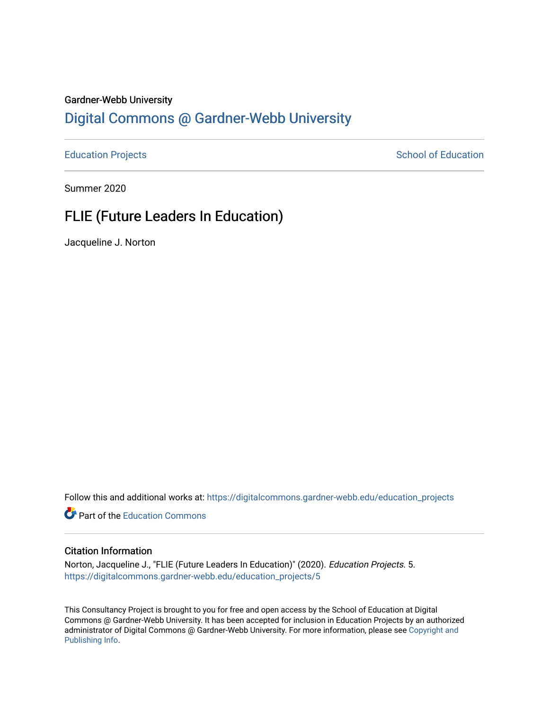#### Gardner-Webb University

## [Digital Commons @ Gardner-Webb University](https://digitalcommons.gardner-webb.edu/)

[Education Projects](https://digitalcommons.gardner-webb.edu/education_projects) **School of Education** School of Education

Summer 2020

## FLIE (Future Leaders In Education)

Jacqueline J. Norton

Follow this and additional works at: [https://digitalcommons.gardner-webb.edu/education\\_projects](https://digitalcommons.gardner-webb.edu/education_projects?utm_source=digitalcommons.gardner-webb.edu%2Feducation_projects%2F5&utm_medium=PDF&utm_campaign=PDFCoverPages) 

**C** Part of the [Education Commons](http://network.bepress.com/hgg/discipline/784?utm_source=digitalcommons.gardner-webb.edu%2Feducation_projects%2F5&utm_medium=PDF&utm_campaign=PDFCoverPages)

#### Citation Information

Norton, Jacqueline J., "FLIE (Future Leaders In Education)" (2020). Education Projects. 5. [https://digitalcommons.gardner-webb.edu/education\\_projects/5](https://digitalcommons.gardner-webb.edu/education_projects/5?utm_source=digitalcommons.gardner-webb.edu%2Feducation_projects%2F5&utm_medium=PDF&utm_campaign=PDFCoverPages)

This Consultancy Project is brought to you for free and open access by the School of Education at Digital Commons @ Gardner-Webb University. It has been accepted for inclusion in Education Projects by an authorized administrator of Digital Commons @ Gardner-Webb University. For more information, please see [Copyright and](https://digitalcommons.gardner-webb.edu/copyright_publishing.html)  [Publishing Info.](https://digitalcommons.gardner-webb.edu/copyright_publishing.html)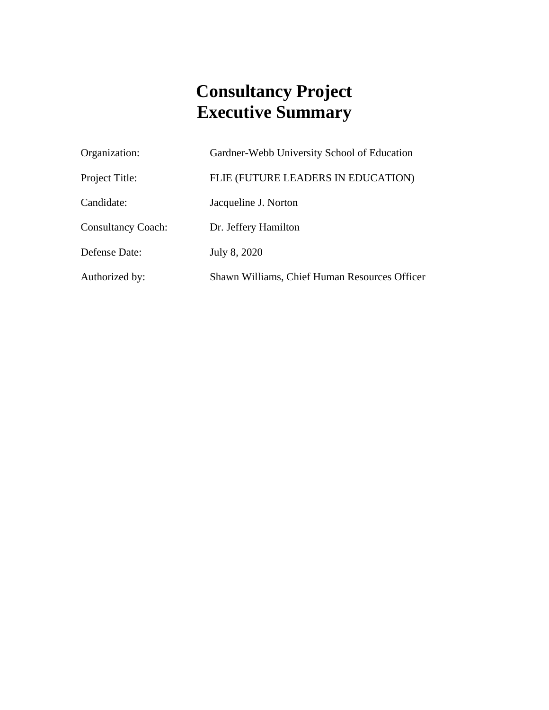# **Consultancy Project Executive Summary**

| Organization:             | Gardner-Webb University School of Education   |
|---------------------------|-----------------------------------------------|
| Project Title:            | FLIE (FUTURE LEADERS IN EDUCATION)            |
| Candidate:                | Jacqueline J. Norton                          |
| <b>Consultancy Coach:</b> | Dr. Jeffery Hamilton                          |
| Defense Date:             | July 8, 2020                                  |
| Authorized by:            | Shawn Williams, Chief Human Resources Officer |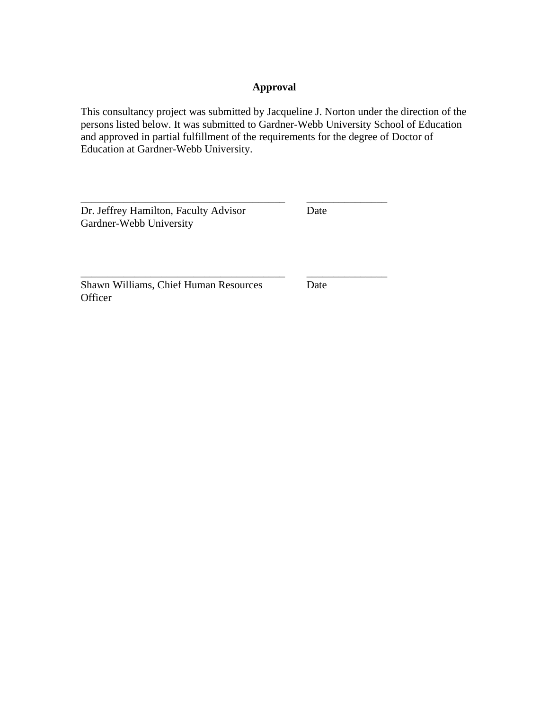## **Approval**

This consultancy project was submitted by Jacqueline J. Norton under the direction of the persons listed below. It was submitted to Gardner-Webb University School of Education and approved in partial fulfillment of the requirements for the degree of Doctor of Education at Gardner-Webb University.

\_\_\_\_\_\_\_\_\_\_\_\_\_\_\_\_\_\_\_\_\_\_\_\_\_\_\_\_\_\_\_\_\_\_\_\_\_\_ \_\_\_\_\_\_\_\_\_\_\_\_\_\_\_

Dr. Jeffrey Hamilton, Faculty Advisor Date Gardner-Webb University

Shawn Williams, Chief Human Resources Date **Officer** 

\_\_\_\_\_\_\_\_\_\_\_\_\_\_\_\_\_\_\_\_\_\_\_\_\_\_\_\_\_\_\_\_\_\_\_\_\_\_ \_\_\_\_\_\_\_\_\_\_\_\_\_\_\_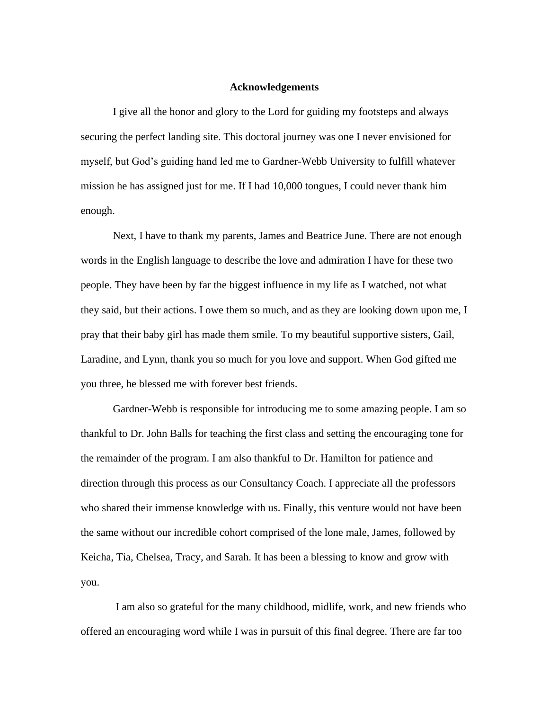#### **Acknowledgements**

I give all the honor and glory to the Lord for guiding my footsteps and always securing the perfect landing site. This doctoral journey was one I never envisioned for myself, but God's guiding hand led me to Gardner-Webb University to fulfill whatever mission he has assigned just for me. If I had 10,000 tongues, I could never thank him enough.

Next, I have to thank my parents, James and Beatrice June. There are not enough words in the English language to describe the love and admiration I have for these two people. They have been by far the biggest influence in my life as I watched, not what they said, but their actions. I owe them so much, and as they are looking down upon me, I pray that their baby girl has made them smile. To my beautiful supportive sisters, Gail, Laradine, and Lynn, thank you so much for you love and support. When God gifted me you three, he blessed me with forever best friends.

Gardner-Webb is responsible for introducing me to some amazing people. I am so thankful to Dr. John Balls for teaching the first class and setting the encouraging tone for the remainder of the program. I am also thankful to Dr. Hamilton for patience and direction through this process as our Consultancy Coach. I appreciate all the professors who shared their immense knowledge with us. Finally, this venture would not have been the same without our incredible cohort comprised of the lone male, James, followed by Keicha, Tia, Chelsea, Tracy, and Sarah. It has been a blessing to know and grow with you.

I am also so grateful for the many childhood, midlife, work, and new friends who offered an encouraging word while I was in pursuit of this final degree. There are far too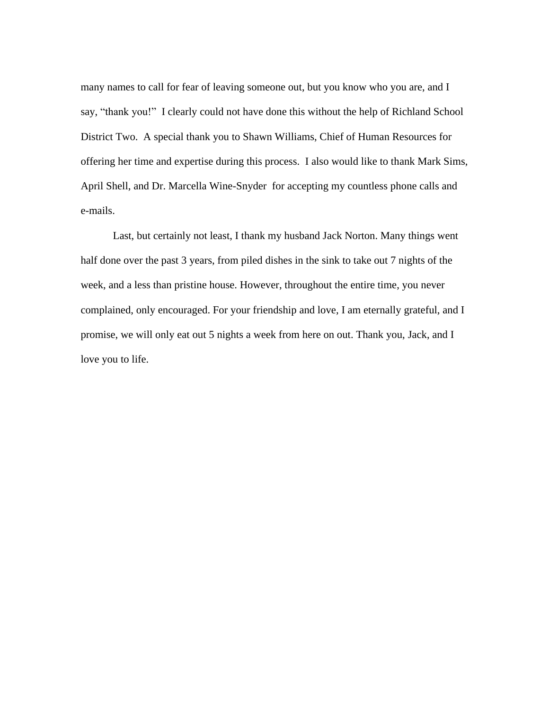many names to call for fear of leaving someone out, but you know who you are, and I say, "thank you!" I clearly could not have done this without the help of Richland School District Two. A special thank you to Shawn Williams, Chief of Human Resources for offering her time and expertise during this process. I also would like to thank Mark Sims, April Shell, and Dr. Marcella Wine-Snyder for accepting my countless phone calls and e-mails.

Last, but certainly not least, I thank my husband Jack Norton. Many things went half done over the past 3 years, from piled dishes in the sink to take out 7 nights of the week, and a less than pristine house. However, throughout the entire time, you never complained, only encouraged. For your friendship and love, I am eternally grateful, and I promise, we will only eat out 5 nights a week from here on out. Thank you, Jack, and I love you to life.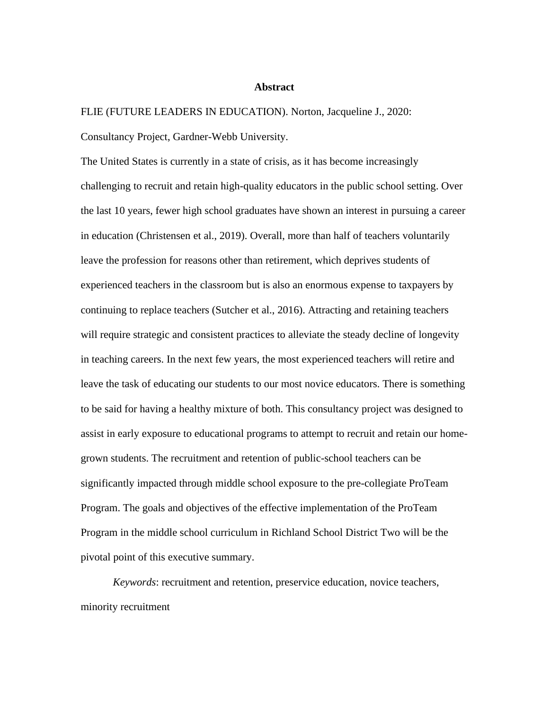#### **Abstract**

FLIE (FUTURE LEADERS IN EDUCATION). Norton, Jacqueline J., 2020:

Consultancy Project, Gardner-Webb University.

The United States is currently in a state of crisis, as it has become increasingly challenging to recruit and retain high-quality educators in the public school setting. Over the last 10 years, fewer high school graduates have shown an interest in pursuing a career in education (Christensen et al., 2019). Overall, more than half of teachers voluntarily leave the profession for reasons other than retirement, which deprives students of experienced teachers in the classroom but is also an enormous expense to taxpayers by continuing to replace teachers (Sutcher et al., 2016). Attracting and retaining teachers will require strategic and consistent practices to alleviate the steady decline of longevity in teaching careers. In the next few years, the most experienced teachers will retire and leave the task of educating our students to our most novice educators. There is something to be said for having a healthy mixture of both. This consultancy project was designed to assist in early exposure to educational programs to attempt to recruit and retain our homegrown students. The recruitment and retention of public-school teachers can be significantly impacted through middle school exposure to the pre-collegiate ProTeam Program. The goals and objectives of the effective implementation of the ProTeam Program in the middle school curriculum in Richland School District Two will be the pivotal point of this executive summary.

*Keywords*: recruitment and retention, preservice education, novice teachers, minority recruitment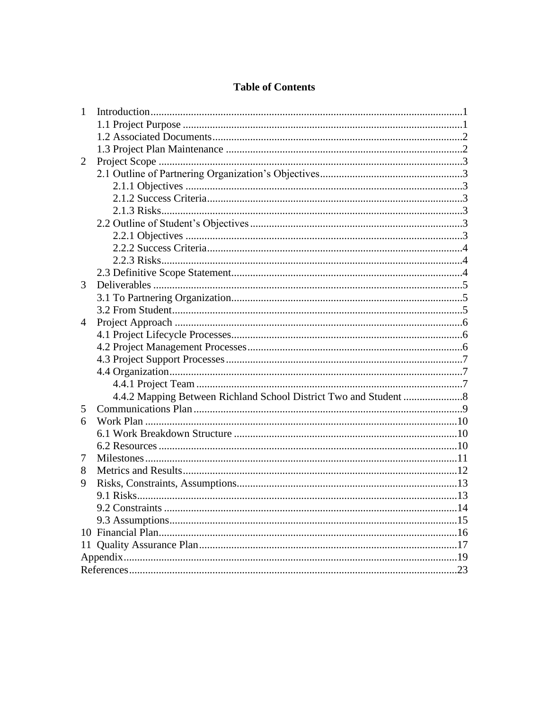## **Table of Contents**

| $\mathbf{1}$ |  |
|--------------|--|
|              |  |
|              |  |
|              |  |
| 2            |  |
|              |  |
|              |  |
|              |  |
|              |  |
|              |  |
|              |  |
|              |  |
|              |  |
|              |  |
| 3            |  |
|              |  |
|              |  |
| 4            |  |
|              |  |
|              |  |
|              |  |
|              |  |
|              |  |
|              |  |
| 5            |  |
| 6            |  |
|              |  |
|              |  |
| 7            |  |
| 8            |  |
| 9            |  |
|              |  |
|              |  |
|              |  |
|              |  |
|              |  |
|              |  |
|              |  |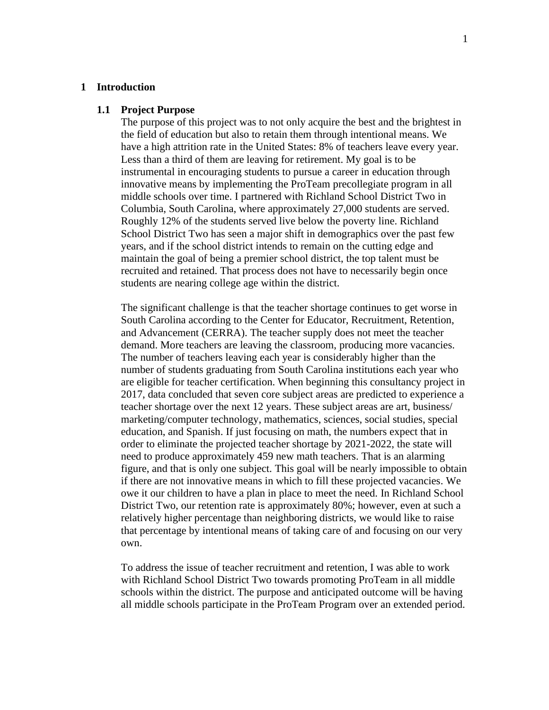#### **1 Introduction**

#### **1.1 Project Purpose**

The purpose of this project was to not only acquire the best and the brightest in the field of education but also to retain them through intentional means. We have a high attrition rate in the United States: 8% of teachers leave every year. Less than a third of them are leaving for retirement. My goal is to be instrumental in encouraging students to pursue a career in education through innovative means by implementing the ProTeam precollegiate program in all middle schools over time. I partnered with Richland School District Two in Columbia, South Carolina, where approximately 27,000 students are served. Roughly 12% of the students served live below the poverty line. Richland School District Two has seen a major shift in demographics over the past few years, and if the school district intends to remain on the cutting edge and maintain the goal of being a premier school district, the top talent must be recruited and retained. That process does not have to necessarily begin once students are nearing college age within the district.

The significant challenge is that the teacher shortage continues to get worse in South Carolina according to the Center for Educator, Recruitment, Retention, and Advancement (CERRA). The teacher supply does not meet the teacher demand. More teachers are leaving the classroom, producing more vacancies. The number of teachers leaving each year is considerably higher than the number of students graduating from South Carolina institutions each year who are eligible for teacher certification. When beginning this consultancy project in 2017, data concluded that seven core subject areas are predicted to experience a teacher shortage over the next 12 years. These subject areas are art, business/ marketing/computer technology, mathematics, sciences, social studies, special education, and Spanish. If just focusing on math, the numbers expect that in order to eliminate the projected teacher shortage by 2021-2022, the state will need to produce approximately 459 new math teachers. That is an alarming figure, and that is only one subject. This goal will be nearly impossible to obtain if there are not innovative means in which to fill these projected vacancies. We owe it our children to have a plan in place to meet the need. In Richland School District Two, our retention rate is approximately 80%; however, even at such a relatively higher percentage than neighboring districts, we would like to raise that percentage by intentional means of taking care of and focusing on our very own.

To address the issue of teacher recruitment and retention, I was able to work with Richland School District Two towards promoting ProTeam in all middle schools within the district. The purpose and anticipated outcome will be having all middle schools participate in the ProTeam Program over an extended period.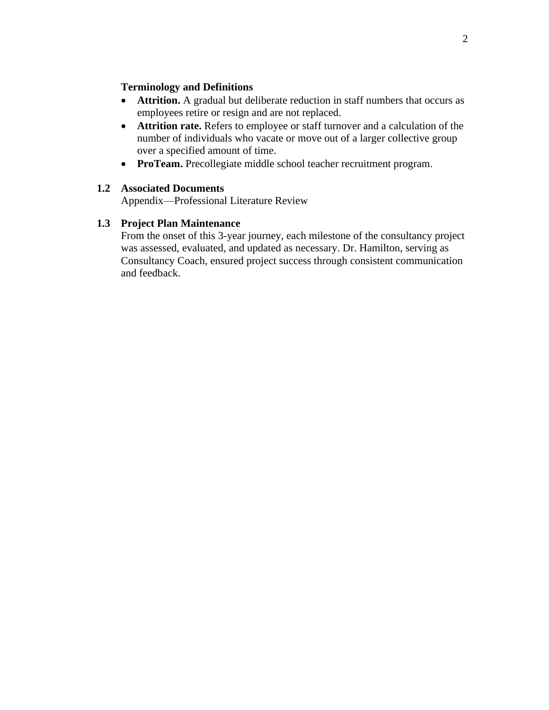#### **Terminology and Definitions**

- **Attrition.** A gradual but deliberate reduction in staff numbers that occurs as employees retire or resign and are not replaced.
- **Attrition rate.** Refers to employee or staff turnover and a calculation of the number of individuals who vacate or move out of a larger collective group over a specified amount of time.
- **ProTeam.** Precollegiate middle school teacher recruitment program.

#### **1.2 Associated Documents**

Appendix—Professional Literature Review

## **1.3 Project Plan Maintenance**

From the onset of this 3-year journey, each milestone of the consultancy project was assessed, evaluated, and updated as necessary. Dr. Hamilton, serving as Consultancy Coach, ensured project success through consistent communication and feedback.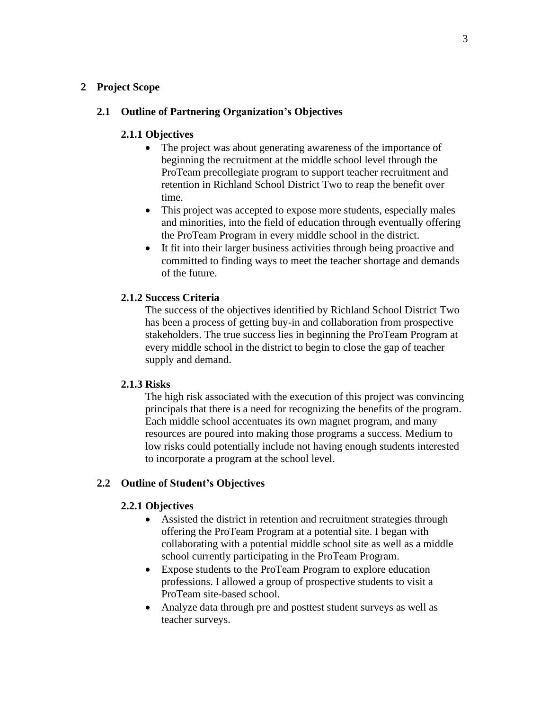#### **2 Project Scope**

### **2.1 Outline of Partnering Organization's Objectives**

#### **2.1.1 Objectives**

- The project was about generating awareness of the importance of beginning the recruitment at the middle school level through the ProTeam precollegiate program to support teacher recruitment and retention in Richland School District Two to reap the benefit over time.
- This project was accepted to expose more students, especially males and minorities, into the field of education through eventually offering the ProTeam Program in every middle school in the district.
- It fit into their larger business activities through being proactive and committed to finding ways to meet the teacher shortage and demands of the future.

#### **2.1.2 Success Criteria**

The success of the objectives identified by Richland School District Two has been a process of getting buy-in and collaboration from prospective stakeholders. The true success lies in beginning the ProTeam Program at every middle school in the district to begin to close the gap of teacher supply and demand.

#### **2.1.3 Risks**

The high risk associated with the execution of this project was convincing principals that there is a need for recognizing the benefits of the program. Each middle school accentuates its own magnet program, and many resources are poured into making those programs a success. Medium to low risks could potentially include not having enough students interested to incorporate a program at the school level.

## **2.2 Outline of Student's Objectives**

#### **2.2.1 Objectives**

- Assisted the district in retention and recruitment strategies through offering the ProTeam Program at a potential site. I began with collaborating with a potential middle school site as well as a middle school currently participating in the ProTeam Program.
- Expose students to the ProTeam Program to explore education professions. I allowed a group of prospective students to visit a ProTeam site-based school.
- Analyze data through pre and posttest student surveys as well as teacher surveys.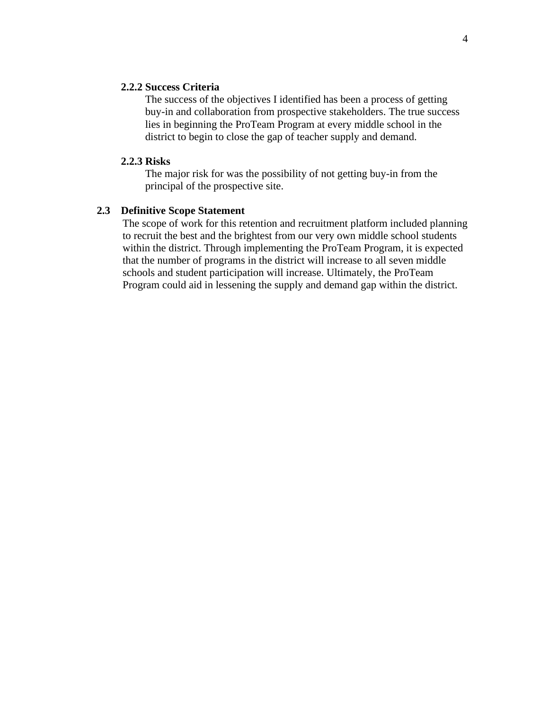#### **2.2.2 Success Criteria**

The success of the objectives I identified has been a process of getting buy-in and collaboration from prospective stakeholders. The true success lies in beginning the ProTeam Program at every middle school in the district to begin to close the gap of teacher supply and demand.

#### **2.2.3 Risks**

The major risk for was the possibility of not getting buy-in from the principal of the prospective site.

#### **2.3 Definitive Scope Statement**

The scope of work for this retention and recruitment platform included planning to recruit the best and the brightest from our very own middle school students within the district. Through implementing the ProTeam Program, it is expected that the number of programs in the district will increase to all seven middle schools and student participation will increase. Ultimately, the ProTeam Program could aid in lessening the supply and demand gap within the district.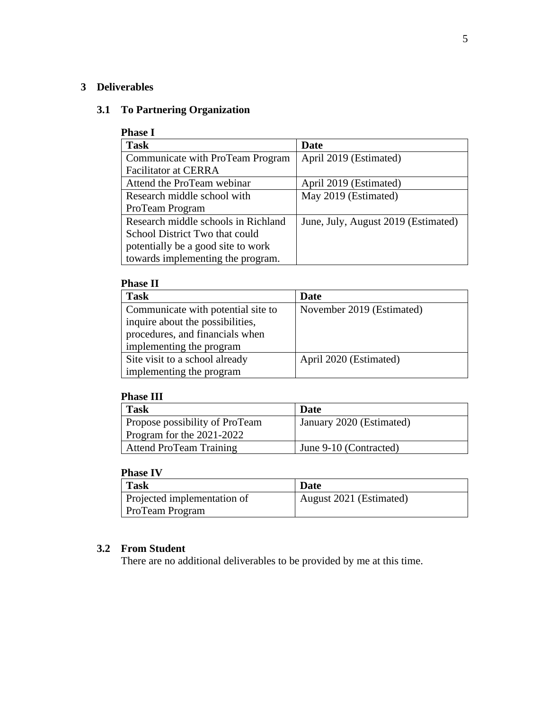### **3 Deliverables**

## **3.1 To Partnering Organization**

#### **Phase I**

| <b>Task</b>                         | Date                                |
|-------------------------------------|-------------------------------------|
| Communicate with ProTeam Program    | April 2019 (Estimated)              |
| <b>Facilitator at CERRA</b>         |                                     |
| Attend the ProTeam webinar          | April 2019 (Estimated)              |
| Research middle school with         | May 2019 (Estimated)                |
| ProTeam Program                     |                                     |
| Research middle schools in Richland | June, July, August 2019 (Estimated) |
| School District Two that could      |                                     |
| potentially be a good site to work  |                                     |
| towards implementing the program.   |                                     |

## **Phase II**

| <b>Task</b>                        | Date                      |
|------------------------------------|---------------------------|
| Communicate with potential site to | November 2019 (Estimated) |
| inquire about the possibilities,   |                           |
| procedures, and financials when    |                           |
| implementing the program           |                           |
| Site visit to a school already     | April 2020 (Estimated)    |
| implementing the program           |                           |

## **Phase III**

| <b>Task</b>                    | Date                     |
|--------------------------------|--------------------------|
| Propose possibility of ProTeam | January 2020 (Estimated) |
| Program for the 2021-2022      |                          |
| <b>Attend ProTeam Training</b> | June 9-10 (Contracted)   |

## **Phase IV**

| <b>Task</b>                 | <b>Date</b>             |
|-----------------------------|-------------------------|
| Projected implementation of | August 2021 (Estimated) |
| <b>ProTeam Program</b>      |                         |

## **3.2 From Student**

There are no additional deliverables to be provided by me at this time.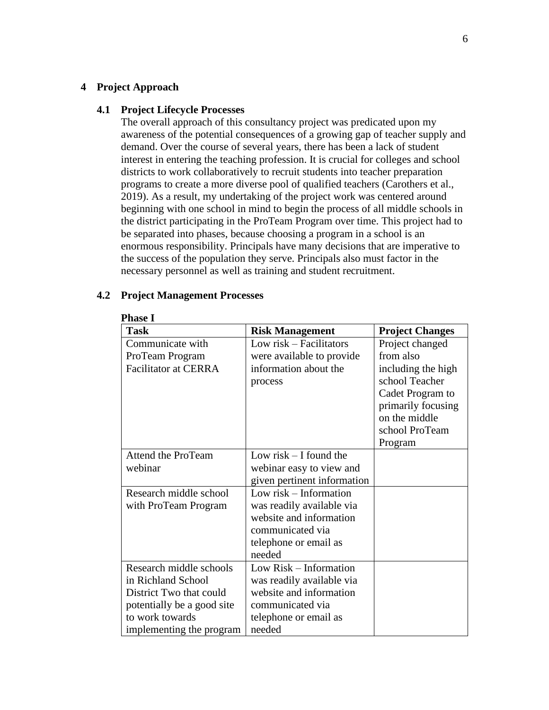#### **4 Project Approach**

#### **4.1 Project Lifecycle Processes**

The overall approach of this consultancy project was predicated upon my awareness of the potential consequences of a growing gap of teacher supply and demand. Over the course of several years, there has been a lack of student interest in entering the teaching profession. It is crucial for colleges and school districts to work collaboratively to recruit students into teacher preparation programs to create a more diverse pool of qualified teachers (Carothers et al., 2019). As a result, my undertaking of the project work was centered around beginning with one school in mind to begin the process of all middle schools in the district participating in the ProTeam Program over time. This project had to be separated into phases, because choosing a program in a school is an enormous responsibility. Principals have many decisions that are imperative to the success of the population they serve. Principals also must factor in the necessary personnel as well as training and student recruitment.

#### **Phase I Task Risk Management Project Changes** Communicate with ProTeam Program Facilitator at CERRA Low risk – Facilitators were available to provide information about the process Project changed from also including the high school Teacher Cadet Program to primarily focusing on the middle school ProTeam Program Attend the ProTeam webinar Low risk – I found the webinar easy to view and given pertinent information Research middle school with ProTeam Program Low risk – Information was readily available via website and information communicated via telephone or email as needed Research middle schools in Richland School District Two that could potentially be a good site to work towards implementing the program Low Risk – Information was readily available via website and information communicated via telephone or email as needed

## **4.2 Project Management Processes**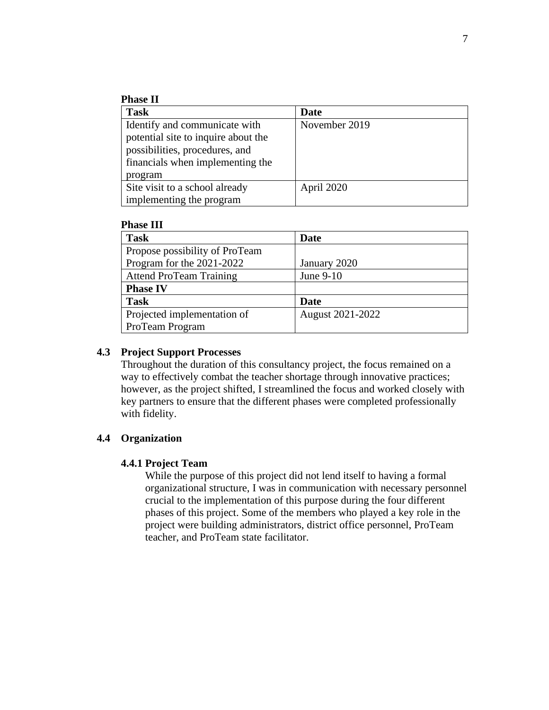### **Phase II**

| <b>Task</b>                         | Date          |
|-------------------------------------|---------------|
| Identify and communicate with       | November 2019 |
| potential site to inquire about the |               |
| possibilities, procedures, and      |               |
| financials when implementing the    |               |
| program                             |               |
| Site visit to a school already      | April 2020    |
| implementing the program            |               |

#### **Phase III**

| <b>Task</b>                    | Date             |
|--------------------------------|------------------|
| Propose possibility of ProTeam |                  |
| Program for the 2021-2022      | January 2020     |
| <b>Attend ProTeam Training</b> | June 9-10        |
| <b>Phase IV</b>                |                  |
| <b>Task</b>                    | Date             |
| Projected implementation of    | August 2021-2022 |
| ProTeam Program                |                  |

#### **4.3 Project Support Processes**

Throughout the duration of this consultancy project, the focus remained on a way to effectively combat the teacher shortage through innovative practices; however, as the project shifted, I streamlined the focus and worked closely with key partners to ensure that the different phases were completed professionally with fidelity.

#### **4.4 Organization**

#### **4.4.1 Project Team**

While the purpose of this project did not lend itself to having a formal organizational structure, I was in communication with necessary personnel crucial to the implementation of this purpose during the four different phases of this project. Some of the members who played a key role in the project were building administrators, district office personnel, ProTeam teacher, and ProTeam state facilitator.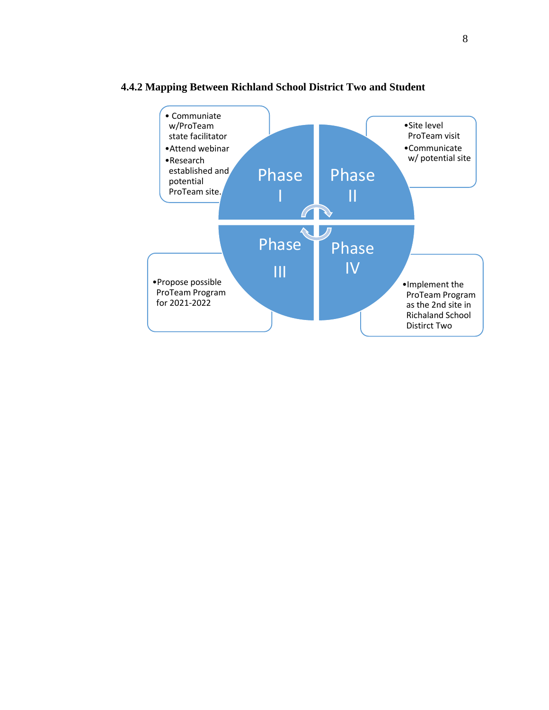

## **4.4.2 Mapping Between Richland School District Two and Student**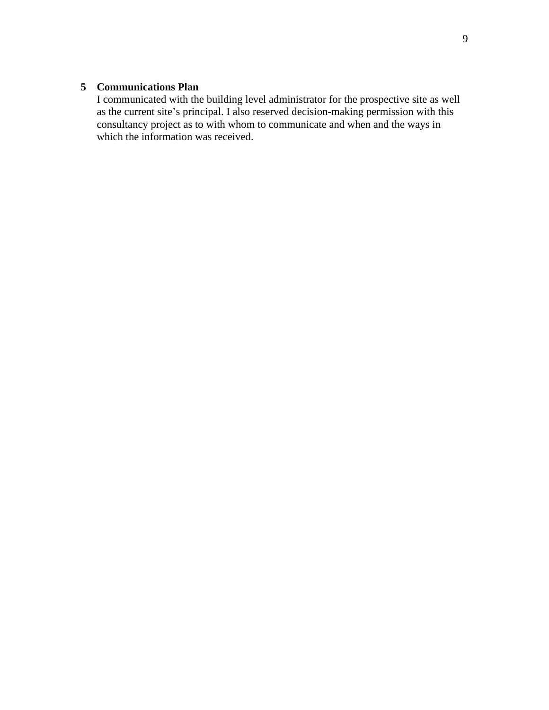## **5 Communications Plan**

I communicated with the building level administrator for the prospective site as well as the current site's principal. I also reserved decision-making permission with this consultancy project as to with whom to communicate and when and the ways in which the information was received.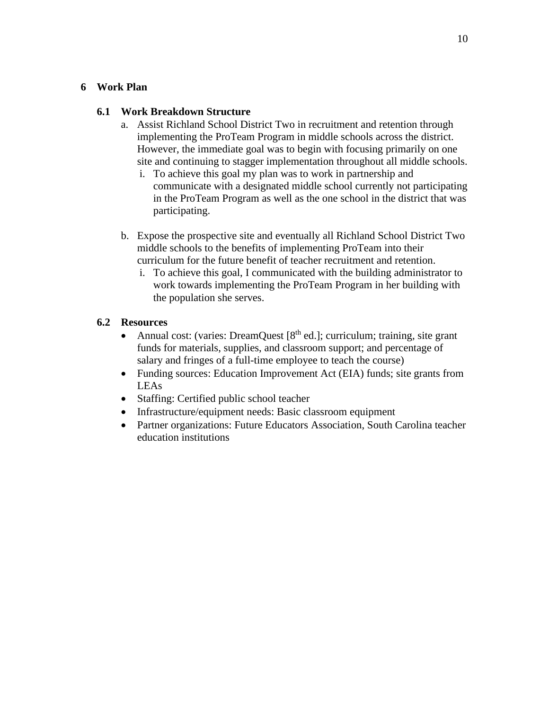#### **6 Work Plan**

#### **6.1 Work Breakdown Structure**

- a. Assist Richland School District Two in recruitment and retention through implementing the ProTeam Program in middle schools across the district. However, the immediate goal was to begin with focusing primarily on one site and continuing to stagger implementation throughout all middle schools.
	- i. To achieve this goal my plan was to work in partnership and communicate with a designated middle school currently not participating in the ProTeam Program as well as the one school in the district that was participating.
- b. Expose the prospective site and eventually all Richland School District Two middle schools to the benefits of implementing ProTeam into their curriculum for the future benefit of teacher recruitment and retention.
	- i. To achieve this goal, I communicated with the building administrator to work towards implementing the ProTeam Program in her building with the population she serves.

## **6.2 Resources**

- Annual cost: (varies: DreamQuest  $[8<sup>th</sup>$  ed.]; curriculum; training, site grant funds for materials, supplies, and classroom support; and percentage of salary and fringes of a full-time employee to teach the course)
- Funding sources: Education Improvement Act (EIA) funds; site grants from LEAs
- Staffing: Certified public school teacher
- Infrastructure/equipment needs: Basic classroom equipment
- Partner organizations: Future Educators Association, South Carolina teacher education institutions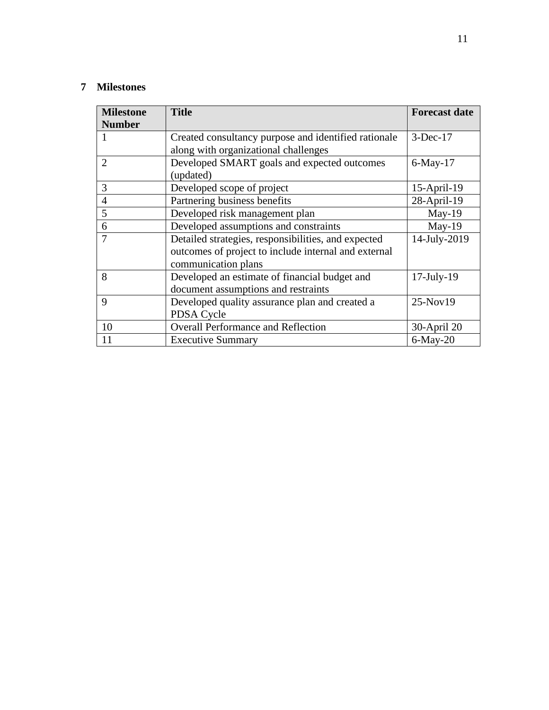## **7 Milestones**

| <b>Milestone</b> | <b>Title</b>                                         | <b>Forecast date</b> |
|------------------|------------------------------------------------------|----------------------|
| <b>Number</b>    |                                                      |                      |
|                  | Created consultancy purpose and identified rationale | $3-Dec-17$           |
|                  | along with organizational challenges                 |                      |
| 2                | Developed SMART goals and expected outcomes          | $6$ -May-17          |
|                  | (updated)                                            |                      |
| 3                | Developed scope of project                           | $15$ -April-19       |
| $\overline{4}$   | Partnering business benefits                         | 28-April-19          |
| 5                | Developed risk management plan                       | $May-19$             |
| 6                | Developed assumptions and constraints                | $May-19$             |
| 7                | Detailed strategies, responsibilities, and expected  | 14-July-2019         |
|                  | outcomes of project to include internal and external |                      |
|                  | communication plans                                  |                      |
| 8                | Developed an estimate of financial budget and        | $17$ -July- $19$     |
|                  | document assumptions and restraints                  |                      |
| 9                | Developed quality assurance plan and created a       | $25-Nov19$           |
|                  | PDSA Cycle                                           |                      |
| 10               | <b>Overall Performance and Reflection</b>            | 30-April 20          |
| 11               | <b>Executive Summary</b>                             | $6$ -May-20          |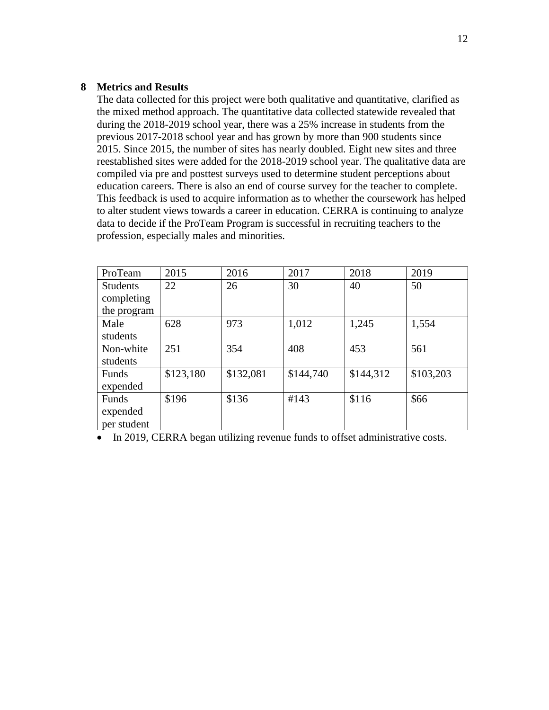#### **8 Metrics and Results**

The data collected for this project were both qualitative and quantitative, clarified as the mixed method approach. The quantitative data collected statewide revealed that during the 2018-2019 school year, there was a 25% increase in students from the previous 2017-2018 school year and has grown by more than 900 students since 2015. Since 2015, the number of sites has nearly doubled. Eight new sites and three reestablished sites were added for the 2018-2019 school year. The qualitative data are compiled via pre and posttest surveys used to determine student perceptions about education careers. There is also an end of course survey for the teacher to complete. This feedback is used to acquire information as to whether the coursework has helped to alter student views towards a career in education. CERRA is continuing to analyze data to decide if the ProTeam Program is successful in recruiting teachers to the profession, especially males and minorities.

| ProTeam         | 2015      | 2016      | 2017      | 2018      | 2019      |
|-----------------|-----------|-----------|-----------|-----------|-----------|
| <b>Students</b> | 22        | 26        | 30        | 40        | 50        |
| completing      |           |           |           |           |           |
| the program     |           |           |           |           |           |
| Male            | 628       | 973       | 1,012     | 1,245     | 1,554     |
| students        |           |           |           |           |           |
| Non-white       | 251       | 354       | 408       | 453       | 561       |
| students        |           |           |           |           |           |
| Funds           | \$123,180 | \$132,081 | \$144,740 | \$144,312 | \$103,203 |
| expended        |           |           |           |           |           |
| Funds           | \$196     | \$136     | #143      | \$116     | \$66      |
| expended        |           |           |           |           |           |
| per student     |           |           |           |           |           |

• In 2019, CERRA began utilizing revenue funds to offset administrative costs.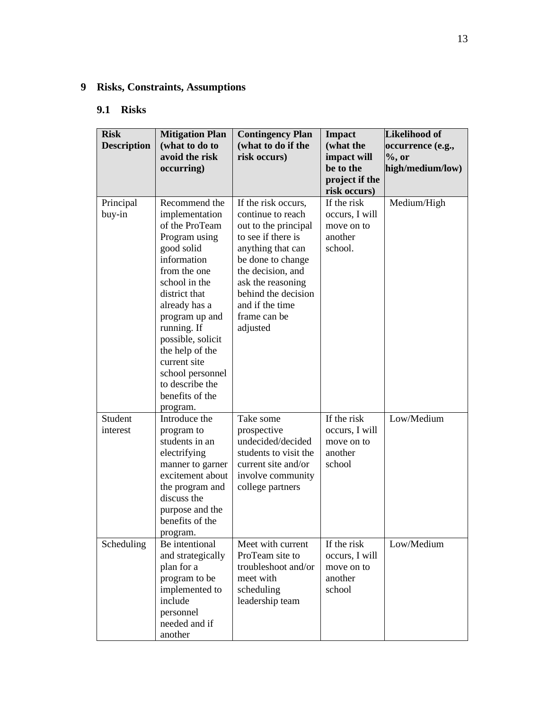## **9 Risks, Constraints, Assumptions**

## **9.1 Risks**

| <b>Risk</b><br><b>Description</b> | <b>Mitigation Plan</b><br>(what to do to<br>avoid the risk<br>occurring)                                                                                                                                                                                                                                                          | <b>Contingency Plan</b><br>(what to do if the<br>risk occurs)                                                                                                                                                                                    | <b>Impact</b><br>(what the<br>impact will<br>be to the<br>project if the<br>risk occurs) | <b>Likelihood of</b><br>occurrence (e.g.,<br>$\%$ , or<br>high/medium/low) |
|-----------------------------------|-----------------------------------------------------------------------------------------------------------------------------------------------------------------------------------------------------------------------------------------------------------------------------------------------------------------------------------|--------------------------------------------------------------------------------------------------------------------------------------------------------------------------------------------------------------------------------------------------|------------------------------------------------------------------------------------------|----------------------------------------------------------------------------|
| Principal<br>buy-in               | Recommend the<br>implementation<br>of the ProTeam<br>Program using<br>good solid<br>information<br>from the one<br>school in the<br>district that<br>already has a<br>program up and<br>running. If<br>possible, solicit<br>the help of the<br>current site<br>school personnel<br>to describe the<br>benefits of the<br>program. | If the risk occurs,<br>continue to reach<br>out to the principal<br>to see if there is<br>anything that can<br>be done to change<br>the decision, and<br>ask the reasoning<br>behind the decision<br>and if the time<br>frame can be<br>adjusted | If the risk<br>occurs, I will<br>move on to<br>another<br>school.                        | Medium/High                                                                |
| Student<br>interest               | Introduce the<br>program to<br>students in an<br>electrifying<br>manner to garner<br>excitement about<br>the program and<br>discuss the<br>purpose and the<br>benefits of the<br>program.                                                                                                                                         | Take some<br>prospective<br>undecided/decided<br>students to visit the<br>current site and/or<br>involve community<br>college partners                                                                                                           | If the risk<br>occurs, I will<br>move on to<br>another<br>school                         | Low/Medium                                                                 |
| Scheduling                        | Be intentional<br>and strategically<br>plan for a<br>program to be<br>implemented to<br>include<br>personnel<br>needed and if<br>another                                                                                                                                                                                          | Meet with current<br>ProTeam site to<br>troubleshoot and/or<br>meet with<br>scheduling<br>leadership team                                                                                                                                        | If the risk<br>occurs, I will<br>move on to<br>another<br>school                         | Low/Medium                                                                 |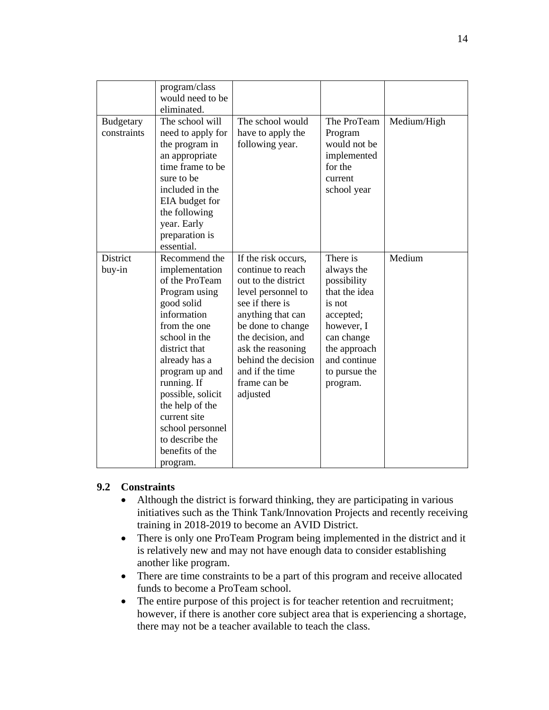|                  | program/class     |                     |               |             |
|------------------|-------------------|---------------------|---------------|-------------|
|                  | would need to be  |                     |               |             |
|                  | eliminated.       |                     |               |             |
| <b>Budgetary</b> | The school will   | The school would    | The ProTeam   | Medium/High |
| constraints      | need to apply for | have to apply the   | Program       |             |
|                  | the program in    | following year.     | would not be  |             |
|                  | an appropriate    |                     | implemented   |             |
|                  | time frame to be  |                     | for the       |             |
|                  | sure to be        |                     | current       |             |
|                  | included in the   |                     | school year   |             |
|                  | EIA budget for    |                     |               |             |
|                  | the following     |                     |               |             |
|                  | year. Early       |                     |               |             |
|                  | preparation is    |                     |               |             |
|                  | essential.        |                     |               |             |
|                  |                   |                     | There is      | Medium      |
| District         | Recommend the     | If the risk occurs, |               |             |
| buy-in           | implementation    | continue to reach   | always the    |             |
|                  | of the ProTeam    | out to the district | possibility   |             |
|                  | Program using     | level personnel to  | that the idea |             |
|                  | good solid        | see if there is     | is not        |             |
|                  | information       | anything that can   | accepted;     |             |
|                  | from the one      | be done to change   | however, I    |             |
|                  | school in the     | the decision, and   | can change    |             |
|                  | district that     | ask the reasoning   | the approach  |             |
|                  | already has a     | behind the decision | and continue  |             |
|                  | program up and    | and if the time     | to pursue the |             |
|                  | running. If       | frame can be        | program.      |             |
|                  | possible, solicit | adjusted            |               |             |
|                  | the help of the   |                     |               |             |
|                  | current site      |                     |               |             |
|                  | school personnel  |                     |               |             |
|                  | to describe the   |                     |               |             |
|                  | benefits of the   |                     |               |             |
|                  | program.          |                     |               |             |

#### **9.2 Constraints**

- Although the district is forward thinking, they are participating in various initiatives such as the Think Tank/Innovation Projects and recently receiving training in 2018-2019 to become an AVID District.
- There is only one ProTeam Program being implemented in the district and it is relatively new and may not have enough data to consider establishing another like program.
- There are time constraints to be a part of this program and receive allocated funds to become a ProTeam school.
- The entire purpose of this project is for teacher retention and recruitment; however, if there is another core subject area that is experiencing a shortage, there may not be a teacher available to teach the class.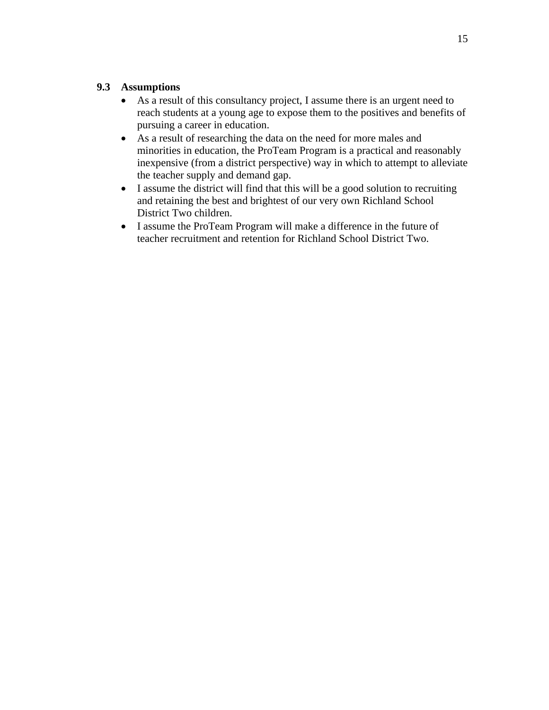## **9.3 Assumptions**

- As a result of this consultancy project, I assume there is an urgent need to reach students at a young age to expose them to the positives and benefits of pursuing a career in education.
- As a result of researching the data on the need for more males and minorities in education, the ProTeam Program is a practical and reasonably inexpensive (from a district perspective) way in which to attempt to alleviate the teacher supply and demand gap.
- I assume the district will find that this will be a good solution to recruiting and retaining the best and brightest of our very own Richland School District Two children.
- I assume the ProTeam Program will make a difference in the future of teacher recruitment and retention for Richland School District Two.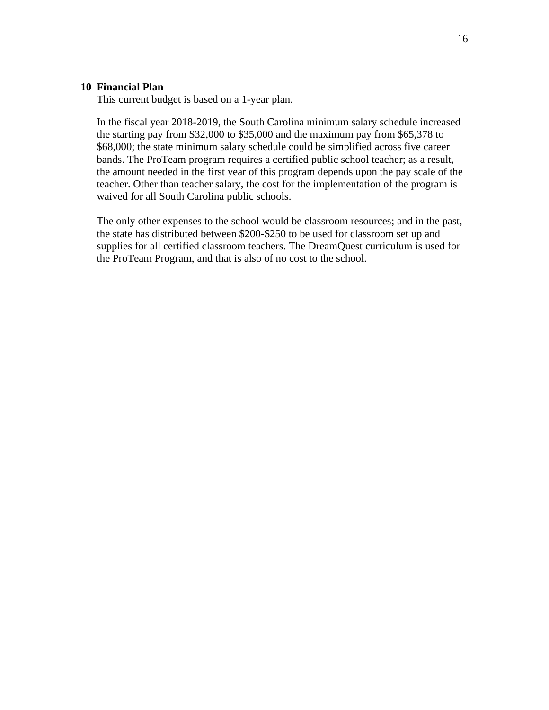#### **10 Financial Plan**

This current budget is based on a 1-year plan.

In the fiscal year 2018-2019, the South Carolina minimum salary schedule increased the starting pay from \$32,000 to \$35,000 and the maximum pay from \$65,378 to \$68,000; the state minimum salary schedule could be simplified across five career bands. The ProTeam program requires a certified public school teacher; as a result, the amount needed in the first year of this program depends upon the pay scale of the teacher. Other than teacher salary, the cost for the implementation of the program is waived for all South Carolina public schools.

The only other expenses to the school would be classroom resources; and in the past, the state has distributed between \$200-\$250 to be used for classroom set up and supplies for all certified classroom teachers. The DreamQuest curriculum is used for the ProTeam Program, and that is also of no cost to the school.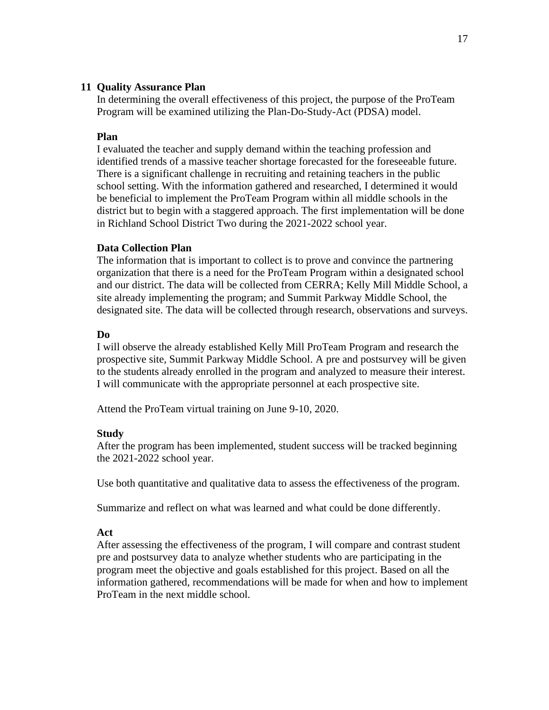#### **11 Quality Assurance Plan**

In determining the overall effectiveness of this project, the purpose of the ProTeam Program will be examined utilizing the Plan-Do-Study-Act (PDSA) model.

#### **Plan**

I evaluated the teacher and supply demand within the teaching profession and identified trends of a massive teacher shortage forecasted for the foreseeable future. There is a significant challenge in recruiting and retaining teachers in the public school setting. With the information gathered and researched, I determined it would be beneficial to implement the ProTeam Program within all middle schools in the district but to begin with a staggered approach. The first implementation will be done in Richland School District Two during the 2021-2022 school year.

#### **Data Collection Plan**

The information that is important to collect is to prove and convince the partnering organization that there is a need for the ProTeam Program within a designated school and our district. The data will be collected from CERRA; Kelly Mill Middle School, a site already implementing the program; and Summit Parkway Middle School, the designated site. The data will be collected through research, observations and surveys.

#### **Do**

I will observe the already established Kelly Mill ProTeam Program and research the prospective site, Summit Parkway Middle School. A pre and postsurvey will be given to the students already enrolled in the program and analyzed to measure their interest. I will communicate with the appropriate personnel at each prospective site.

Attend the ProTeam virtual training on June 9-10, 2020.

#### **Study**

After the program has been implemented, student success will be tracked beginning the 2021-2022 school year.

Use both quantitative and qualitative data to assess the effectiveness of the program.

Summarize and reflect on what was learned and what could be done differently.

#### **Act**

After assessing the effectiveness of the program, I will compare and contrast student pre and postsurvey data to analyze whether students who are participating in the program meet the objective and goals established for this project. Based on all the information gathered, recommendations will be made for when and how to implement ProTeam in the next middle school.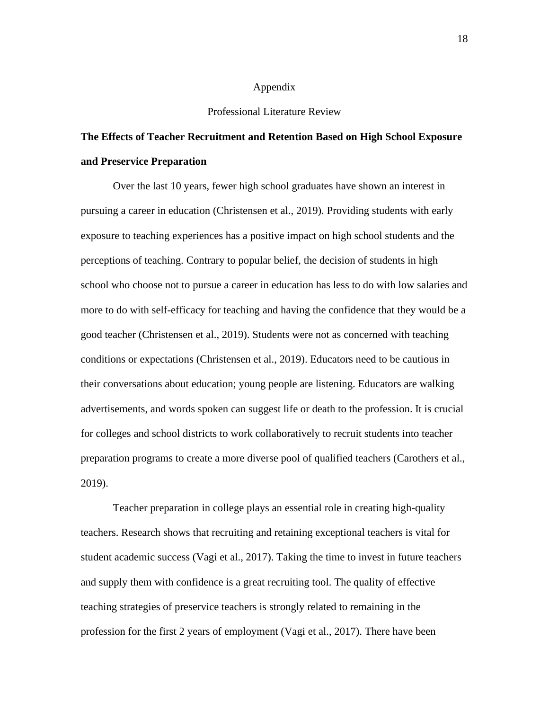#### Appendix

#### Professional Literature Review

## **The Effects of Teacher Recruitment and Retention Based on High School Exposure and Preservice Preparation**

 Over the last 10 years, fewer high school graduates have shown an interest in pursuing a career in education (Christensen et al., 2019). Providing students with early exposure to teaching experiences has a positive impact on high school students and the perceptions of teaching. Contrary to popular belief, the decision of students in high school who choose not to pursue a career in education has less to do with low salaries and more to do with self-efficacy for teaching and having the confidence that they would be a good teacher (Christensen et al., 2019). Students were not as concerned with teaching conditions or expectations (Christensen et al., 2019). Educators need to be cautious in their conversations about education; young people are listening. Educators are walking advertisements, and words spoken can suggest life or death to the profession. It is crucial for colleges and school districts to work collaboratively to recruit students into teacher preparation programs to create a more diverse pool of qualified teachers (Carothers et al., 2019).

 Teacher preparation in college plays an essential role in creating high-quality teachers. Research shows that recruiting and retaining exceptional teachers is vital for student academic success (Vagi et al., 2017). Taking the time to invest in future teachers and supply them with confidence is a great recruiting tool. The quality of effective teaching strategies of preservice teachers is strongly related to remaining in the profession for the first 2 years of employment (Vagi et al., 2017). There have been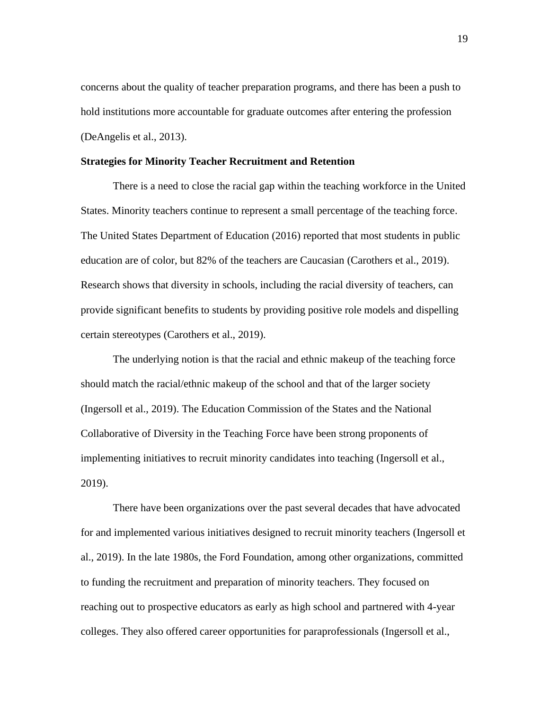concerns about the quality of teacher preparation programs, and there has been a push to hold institutions more accountable for graduate outcomes after entering the profession (DeAngelis et al., 2013).

#### **Strategies for Minority Teacher Recruitment and Retention**

There is a need to close the racial gap within the teaching workforce in the United States. Minority teachers continue to represent a small percentage of the teaching force. The United States Department of Education (2016) reported that most students in public education are of color, but 82% of the teachers are Caucasian (Carothers et al., 2019). Research shows that diversity in schools, including the racial diversity of teachers, can provide significant benefits to students by providing positive role models and dispelling certain stereotypes (Carothers et al., 2019).

The underlying notion is that the racial and ethnic makeup of the teaching force should match the racial/ethnic makeup of the school and that of the larger society (Ingersoll et al., 2019). The Education Commission of the States and the National Collaborative of Diversity in the Teaching Force have been strong proponents of implementing initiatives to recruit minority candidates into teaching (Ingersoll et al., 2019).

 There have been organizations over the past several decades that have advocated for and implemented various initiatives designed to recruit minority teachers (Ingersoll et al., 2019). In the late 1980s, the Ford Foundation, among other organizations, committed to funding the recruitment and preparation of minority teachers. They focused on reaching out to prospective educators as early as high school and partnered with 4-year colleges. They also offered career opportunities for paraprofessionals (Ingersoll et al.,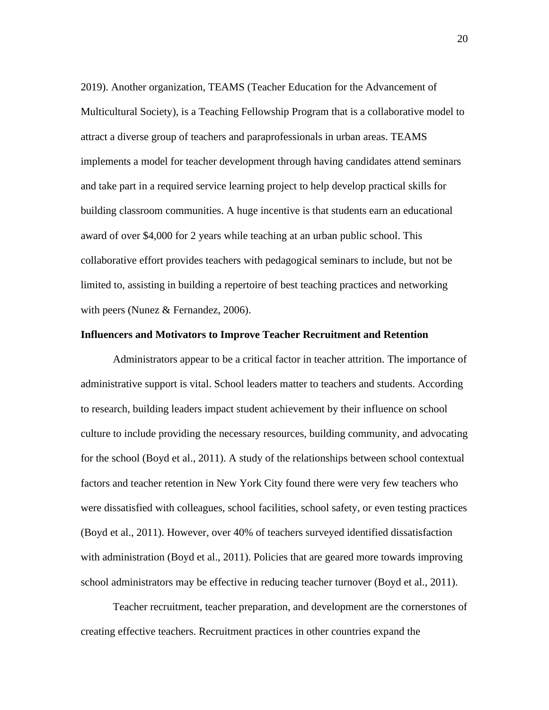2019). Another organization, TEAMS (Teacher Education for the Advancement of Multicultural Society), is a Teaching Fellowship Program that is a collaborative model to attract a diverse group of teachers and paraprofessionals in urban areas. TEAMS implements a model for teacher development through having candidates attend seminars and take part in a required service learning project to help develop practical skills for building classroom communities. A huge incentive is that students earn an educational award of over \$4,000 for 2 years while teaching at an urban public school. This collaborative effort provides teachers with pedagogical seminars to include, but not be limited to, assisting in building a repertoire of best teaching practices and networking with peers (Nunez & Fernandez, 2006).

#### **Influencers and Motivators to Improve Teacher Recruitment and Retention**

Administrators appear to be a critical factor in teacher attrition. The importance of administrative support is vital. School leaders matter to teachers and students. According to research, building leaders impact student achievement by their influence on school culture to include providing the necessary resources, building community, and advocating for the school (Boyd et al., 2011). A study of the relationships between school contextual factors and teacher retention in New York City found there were very few teachers who were dissatisfied with colleagues, school facilities, school safety, or even testing practices (Boyd et al., 2011). However, over 40% of teachers surveyed identified dissatisfaction with administration (Boyd et al., 2011). Policies that are geared more towards improving school administrators may be effective in reducing teacher turnover (Boyd et al., 2011).

 Teacher recruitment, teacher preparation, and development are the cornerstones of creating effective teachers. Recruitment practices in other countries expand the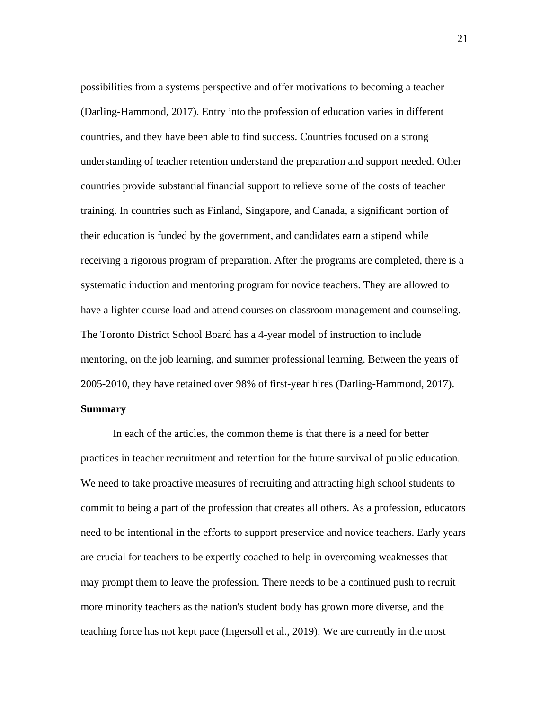possibilities from a systems perspective and offer motivations to becoming a teacher (Darling-Hammond, 2017). Entry into the profession of education varies in different countries, and they have been able to find success. Countries focused on a strong understanding of teacher retention understand the preparation and support needed. Other countries provide substantial financial support to relieve some of the costs of teacher training. In countries such as Finland, Singapore, and Canada, a significant portion of their education is funded by the government, and candidates earn a stipend while receiving a rigorous program of preparation. After the programs are completed, there is a systematic induction and mentoring program for novice teachers. They are allowed to have a lighter course load and attend courses on classroom management and counseling. The Toronto District School Board has a 4-year model of instruction to include mentoring, on the job learning, and summer professional learning. Between the years of 2005-2010, they have retained over 98% of first-year hires (Darling-Hammond, 2017).

#### **Summary**

 In each of the articles, the common theme is that there is a need for better practices in teacher recruitment and retention for the future survival of public education. We need to take proactive measures of recruiting and attracting high school students to commit to being a part of the profession that creates all others. As a profession, educators need to be intentional in the efforts to support preservice and novice teachers. Early years are crucial for teachers to be expertly coached to help in overcoming weaknesses that may prompt them to leave the profession. There needs to be a continued push to recruit more minority teachers as the nation's student body has grown more diverse, and the teaching force has not kept pace (Ingersoll et al., 2019). We are currently in the most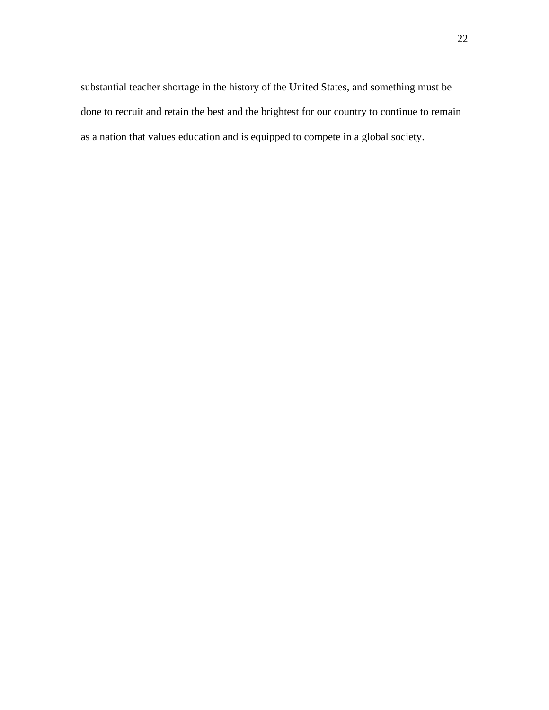substantial teacher shortage in the history of the United States, and something must be done to recruit and retain the best and the brightest for our country to continue to remain as a nation that values education and is equipped to compete in a global society.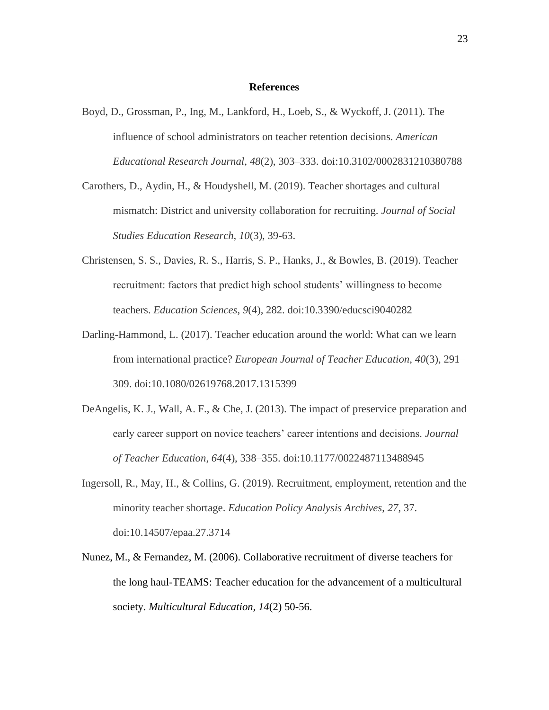#### **References**

- Boyd, D., Grossman, P., Ing, M., Lankford, H., Loeb, S., & Wyckoff, J. (2011). The influence of school administrators on teacher retention decisions. *American Educational Research Journal*, *48*(2), 303–333. doi:10.3102/0002831210380788
- Carothers, D., Aydin, H., & Houdyshell, M. (2019). Teacher shortages and cultural mismatch: District and university collaboration for recruiting. *Journal of Social Studies Education Research, 10*(3), 39-63.
- Christensen, S. S., Davies, R. S., Harris, S. P., Hanks, J., & Bowles, B. (2019). Teacher recruitment: factors that predict high school students' willingness to become teachers. *Education Sciences*, *9*(4), 282. doi:10.3390/educsci9040282
- Darling-Hammond, L. (2017). Teacher education around the world: What can we learn from international practice? *European Journal of Teacher Education*, *40*(3), 291– 309. doi:10.1080/02619768.2017.1315399
- DeAngelis, K. J., Wall, A. F., & Che, J. (2013). The impact of preservice preparation and early career support on novice teachers' career intentions and decisions. *Journal of Teacher Education*, *64*(4), 338–355. doi:10.1177/0022487113488945
- Ingersoll, R., May, H., & Collins, G. (2019). Recruitment, employment, retention and the minority teacher shortage. *Education Policy Analysis Archives*, *27*, 37. doi:10.14507/epaa.27.3714
- Nunez, M., & Fernandez, M. (2006). Collaborative recruitment of diverse teachers for the long haul-TEAMS: Teacher education for the advancement of a multicultural society. *Multicultural Education, 14*(2) 50-56.